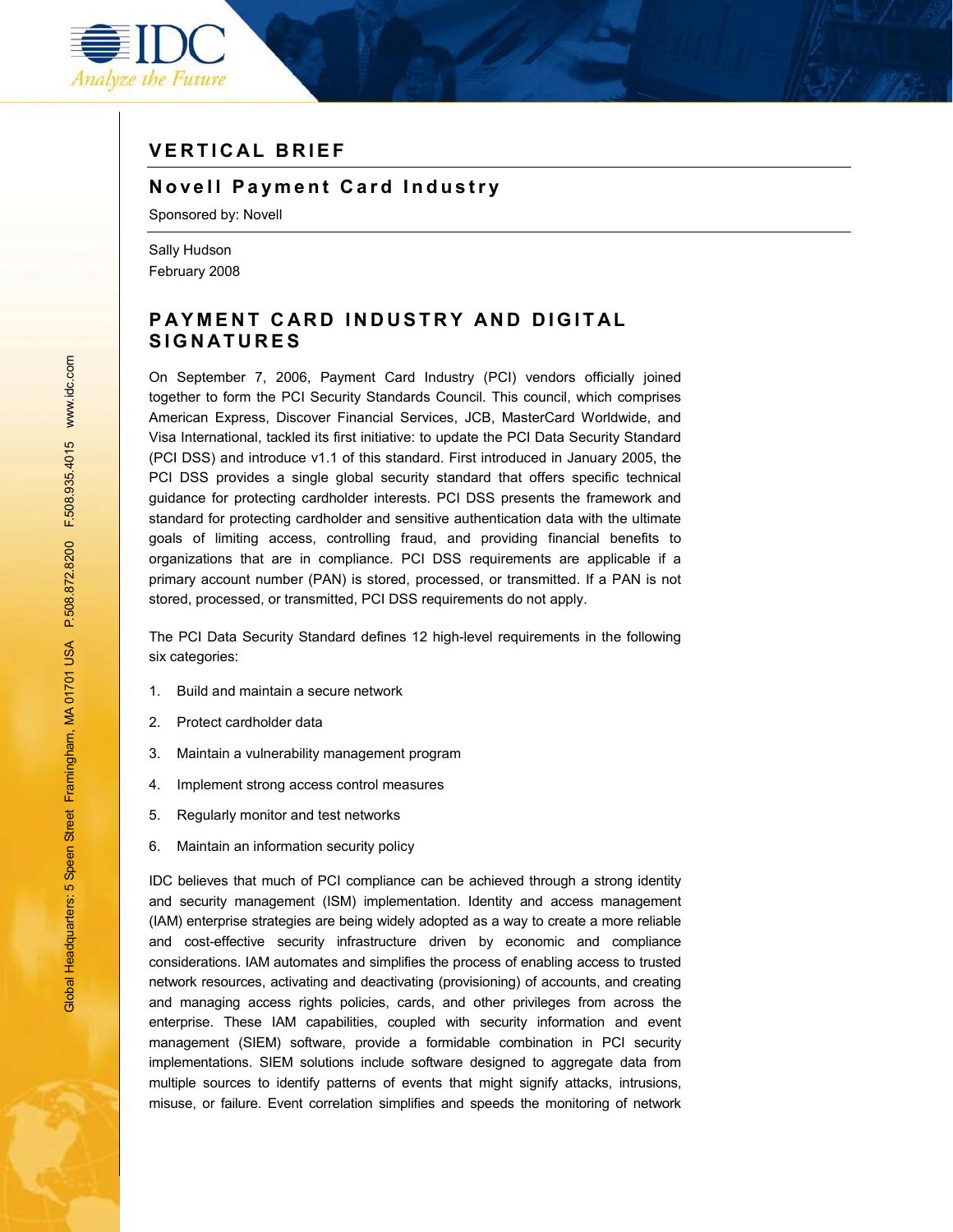

# **V E R T I C AL B R IEF**

### **N o v e l l Pa ym e n t C a r d I n dustry**

Sponsored by: Novell

Sally Hudson February 2008

## **PAYMENT CARD INDUSTRY AND DIGITAL SIGNATURES**

On September 7, 2006, Payment Card Industry (PCI) vendors officially joined together to form the PCI Security Standards Council. This council, which comprises American Express, Discover Financial Services, JCB, MasterCard Worldwide, and Visa International, tackled its first initiative: to update the PCI Data Security Standard (PCI DSS) and introduce v1.1 of this standard. First introduced in January 2005, the PCI DSS provides a single global security standard that offers specific technical guidance for protecting cardholder interests. PCI DSS presents the framework and standard for protecting cardholder and sensitive authentication data with the ultimate goals of limiting access, controlling fraud, and providing financial benefits to organizations that are in compliance. PCI DSS requirements are applicable if a primary account number (PAN) is stored, processed, or transmitted. If a PAN is not stored, processed, or transmitted, PCI DSS requirements do not apply.

The PCI Data Security Standard defines 12 high-level requirements in the following six categories:

- 1. Build and maintain a secure network
- 2. Protect cardholder data
- 3. Maintain a vulnerability management program
- 4. Implement strong access control measures
- 5. Regularly monitor and test networks
- 6. Maintain an information security policy

IDC believes that much of PCI compliance can be achieved through a strong identity and security management (ISM) implementation. Identity and access management (IAM) enterprise strategies are being widely adopted as a way to create a more reliable and cost-effective security infrastructure driven by economic and compliance considerations. IAM automates and simplifies the process of enabling access to trusted network resources, activating and deactivating (provisioning) of accounts, and creating and managing access rights policies, cards, and other privileges from across the enterprise. These IAM capabilities, coupled with security information and event management (SIEM) software, provide a formidable combination in PCI security implementations. SIEM solutions include software designed to aggregate data from multiple sources to identify patterns of events that might signify attacks, intrusions, misuse, or failure. Event correlation simplifies and speeds the monitoring of network